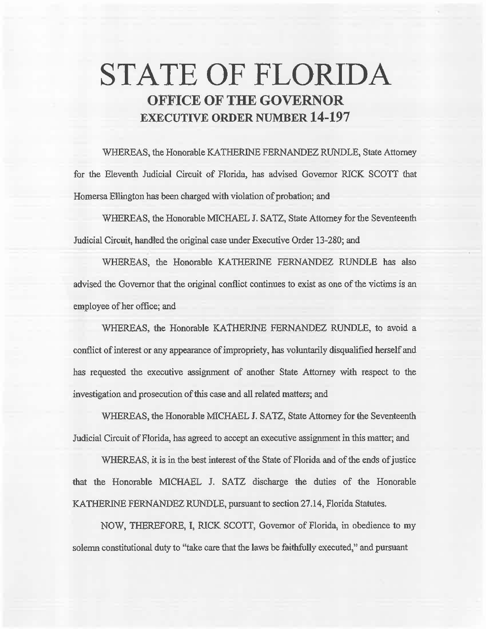# **STATE OF FLORIDA OFFICE OF THE GOVERNOR EXECUTIVE ORDER NUMBER 14-197**

WHEREAS, the Honorable KATHERINE FERNANDEZ RUNDLE, State Attorney for the Eleventh Judicial Circuit of Florida, has advised Governor RICK SCOTT that Homersa Ellington has been charged with violation of probation; and

WHEREAS, the Honorable MICHAEL J. SATZ, State Attorney for the Seventeenth Judicial Circuit, handled the original case under Executive Order 13-280; and

WHEREAS, the Honorable KATHERINE FERNANDEZ RUNDLE has also advised the Governor that the original conflict continues to exist as one of the victims is an employee of her office; and

WHEREAS, the Honorable KATHERINE FERNANDEZ RUNDLE, to avoid a conflict of interest or any appearance of impropriety, has voluntarily disqualified herself and has requested the executive assignment of another State Attorney with respect to the investigation and prosecution of this case and all related matters; and

WHEREAS, the Honorable MICHAEL J. SATZ, State Attorney for the Seventeenth Judicial Circuit of Florida, has agreed to accept an executive assignment in this matter; and

WHEREAS, it is in the best interest of the State of Florida and of the ends of justice that the Honorable MICHAEL J. SATZ discharge the duties of the Honorable KATHERINE FERNANDEZ RUNDLE, pursuant to section 27.14, Florida Statutes.

NOW, THEREFORE, I, RICK SCOTT, Governor of Florida, in obedience to my solemn constitutional duty to "take care that the laws be faithfully executed,'' and pursuant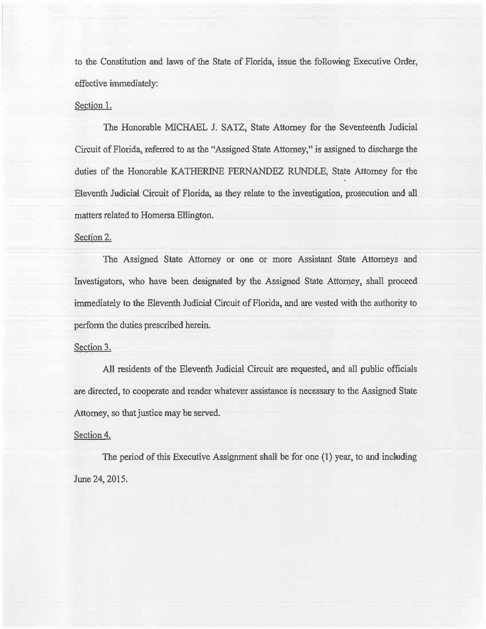to the Constitution and laws of the State of Florida, issue the following Executive Order, effective immediately:

#### Section 1.

The Honorable MICHAEL J. SATZ, State Attorney for the Seventeenth Judicial Circuit of Florida, referred to as the "Assigned State Attorney," is assigned to discharge the duties of the Honorable KATHERINE FERNANDEZ RUNDLE, State Attorney for the Eleventh Judicial Circuit of Florida, as they relate to the investigation, prosecution and all matters related to Homersa EHington.

### Section 2.

The Assigned State Attorney or one or more Assistant State Attorneys and Investigators, who have been designated by the Assigned State Attorney, shall proceed immediately to the Eleventh Judicial Circuit of Florida, and are vested with the authority to perform the duties prescribed herein.

#### Section 3.

All residents of the Eleventh Judicial Circuit are requested, and all public officials are directed, to cooperate and render whatever assistance is necessary to the Assigned State Attorney, so that justice may be served.

#### Section 4.

The period of this Executive Assignment shall be for one (1) year, to and incliuding June 24, 2015.